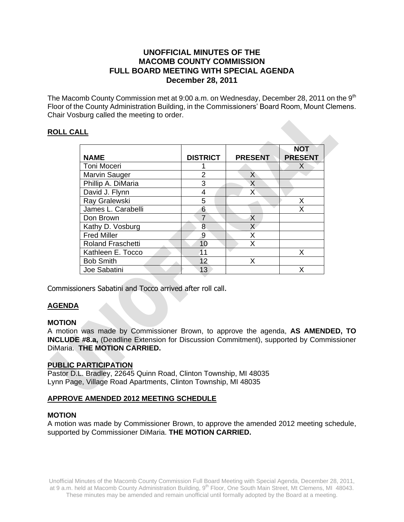# **UNOFFICIAL MINUTES OF THE MACOMB COUNTY COMMISSION FULL BOARD MEETING WITH SPECIAL AGENDA December 28, 2011**

The Macomb County Commission met at 9:00 a.m. on Wednesday, December 28, 2011 on the 9<sup>th</sup> Floor of the County Administration Building, in the Commissioners' Board Room, Mount Clemens. Chair Vosburg called the meeting to order.

# **ROLL CALL**

| LL                       |                 |                |                              |
|--------------------------|-----------------|----------------|------------------------------|
| <b>NAME</b>              | <b>DISTRICT</b> | <b>PRESENT</b> | <b>NOT</b><br><b>PRESENT</b> |
| Toni Moceri              |                 |                | X                            |
| <b>Marvin Sauger</b>     | $\overline{2}$  | X              |                              |
| Phillip A. DiMaria       | 3               | X              |                              |
| David J. Flynn           | 4               | X              |                              |
| Ray Gralewski            | 5               |                | Х                            |
| James L. Carabelli       | 6               |                | X                            |
| Don Brown                | 7               | X              |                              |
| Kathy D. Vosburg         | 8               | $\mathsf{X}$   |                              |
| <b>Fred Miller</b>       | 9               | X              |                              |
| <b>Roland Fraschetti</b> | 10              | X              |                              |
| Kathleen E. Tocco        | 11              |                | X                            |
| <b>Bob Smith</b>         | 12              | X              |                              |
| Joe Sabatini             | 13              |                | x                            |

Commissioners Sabatini and Tocco arrived after roll call.

# **AGENDA**

# **MOTION**

A motion was made by Commissioner Brown, to approve the agenda, **AS AMENDED, TO INCLUDE #8.a,** (Deadline Extension for Discussion Commitment), supported by Commissioner DiMaria. **THE MOTION CARRIED.** 

# **PUBLIC PARTICIPATION**

Pastor D.L. Bradley, 22645 Quinn Road, Clinton Township, MI 48035 Lynn Page, Village Road Apartments, Clinton Township, MI 48035

# **APPROVE AMENDED 2012 MEETING SCHEDULE**

### **MOTION**

A motion was made by Commissioner Brown, to approve the amended 2012 meeting schedule, supported by Commissioner DiMaria. **THE MOTION CARRIED.**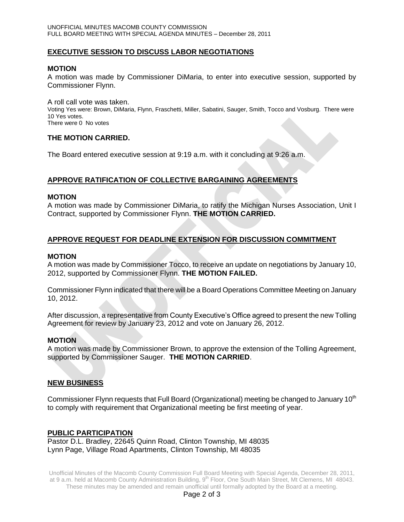## **EXECUTIVE SESSION TO DISCUSS LABOR NEGOTIATIONS**

#### **MOTION**

A motion was made by Commissioner DiMaria, to enter into executive session, supported by Commissioner Flynn.

A roll call vote was taken. Voting Yes were: Brown, DiMaria, Flynn, Fraschetti, Miller, Sabatini, Sauger, Smith, Tocco and Vosburg. There were 10 Yes votes. There were 0 No votes

### **THE MOTION CARRIED.**

The Board entered executive session at 9:19 a.m. with it concluding at 9:26 a.m.

### **APPROVE RATIFICATION OF COLLECTIVE BARGAINING AGREEMENTS**

#### **MOTION**

A motion was made by Commissioner DiMaria, to ratify the Michigan Nurses Association, Unit I Contract, supported by Commissioner Flynn. **THE MOTION CARRIED.**

### **APPROVE REQUEST FOR DEADLINE EXTENSION FOR DISCUSSION COMMITMENT**

#### **MOTION**

A motion was made by Commissioner Tocco, to receive an update on negotiations by January 10, 2012, supported by Commissioner Flynn. **THE MOTION FAILED.**

Commissioner Flynn indicated that there will be a Board Operations Committee Meeting on January 10, 2012.

After discussion, a representative from County Executive's Office agreed to present the new Tolling Agreement for review by January 23, 2012 and vote on January 26, 2012.

#### **MOTION**

A motion was made by Commissioner Brown, to approve the extension of the Tolling Agreement, supported by Commissioner Sauger. **THE MOTION CARRIED**.

## **NEW BUSINESS**

Commissioner Flynn requests that Full Board (Organizational) meeting be changed to January 10<sup>th</sup> to comply with requirement that Organizational meeting be first meeting of year.

### **PUBLIC PARTICIPATION**

Pastor D.L. Bradley, 22645 Quinn Road, Clinton Township, MI 48035 Lynn Page, Village Road Apartments, Clinton Township, MI 48035

Unofficial Minutes of the Macomb County Commission Full Board Meeting with Special Agenda, December 28, 2011, at 9 a.m. held at Macomb County Administration Building, 9th Floor, One South Main Street, Mt Clemens, MI 48043. These minutes may be amended and remain unofficial until formally adopted by the Board at a meeting.